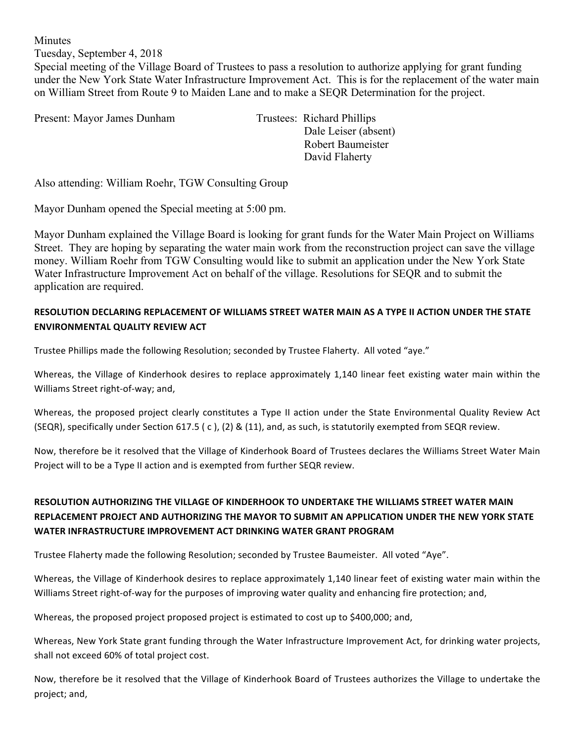## **Minutes**

Tuesday, September 4, 2018

Special meeting of the Village Board of Trustees to pass a resolution to authorize applying for grant funding under the New York State Water Infrastructure Improvement Act. This is for the replacement of the water main on William Street from Route 9 to Maiden Lane and to make a SEQR Determination for the project.

Present: Mayor James Dunham Trustees: Richard Phillips

Dale Leiser (absent) Robert Baumeister David Flaherty

Also attending: William Roehr, TGW Consulting Group

Mayor Dunham opened the Special meeting at 5:00 pm.

Mayor Dunham explained the Village Board is looking for grant funds for the Water Main Project on Williams Street. They are hoping by separating the water main work from the reconstruction project can save the village money. William Roehr from TGW Consulting would like to submit an application under the New York State Water Infrastructure Improvement Act on behalf of the village. Resolutions for SEQR and to submit the application are required.

## **RESOLUTION DECLARING REPLACEMENT OF WILLIAMS STREET WATER MAIN AS A TYPE II ACTION UNDER THE STATE ENVIRONMENTAL QUALITY REVIEW ACT**

Trustee Phillips made the following Resolution; seconded by Trustee Flaherty. All voted "aye."

Whereas, the Village of Kinderhook desires to replace approximately 1,140 linear feet existing water main within the Williams Street right-of-way; and,

Whereas, the proposed project clearly constitutes a Type II action under the State Environmental Quality Review Act (SEQR), specifically under Section 617.5 (c), (2) & (11), and, as such, is statutorily exempted from SEQR review.

Now, therefore be it resolved that the Village of Kinderhook Board of Trustees declares the Williams Street Water Main Project will to be a Type II action and is exempted from further SEQR review.

## **RESOLUTION AUTHORIZING THE VILLAGE OF KINDERHOOK TO UNDERTAKE THE WILLIAMS STREET WATER MAIN** REPLACEMENT PROJECT AND AUTHORIZING THE MAYOR TO SUBMIT AN APPLICATION UNDER THE NEW YORK STATE WATER INFRASTRUCTURE IMPROVEMENT ACT DRINKING WATER GRANT PROGRAM

Trustee Flaherty made the following Resolution; seconded by Trustee Baumeister. All voted "Aye".

Whereas, the Village of Kinderhook desires to replace approximately 1,140 linear feet of existing water main within the Williams Street right-of-way for the purposes of improving water quality and enhancing fire protection; and,

Whereas, the proposed project proposed project is estimated to cost up to \$400,000; and,

Whereas, New York State grant funding through the Water Infrastructure Improvement Act, for drinking water projects, shall not exceed 60% of total project cost.

Now, therefore be it resolved that the Village of Kinderhook Board of Trustees authorizes the Village to undertake the project; and,